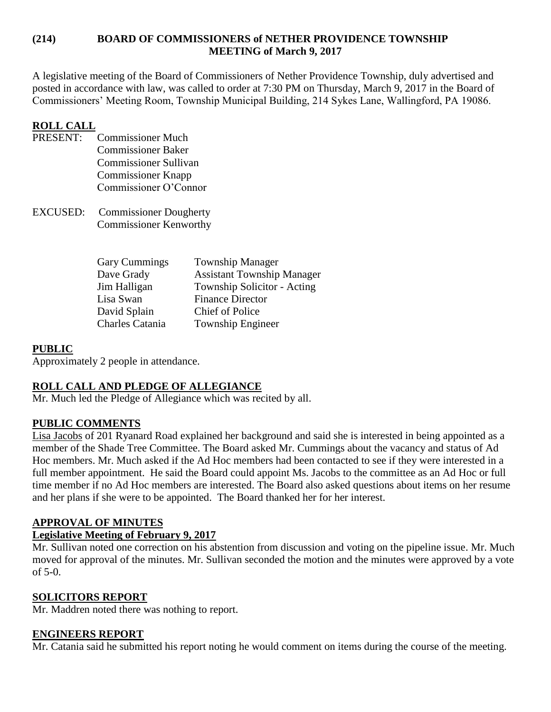### **(214) BOARD OF COMMISSIONERS of NETHER PROVIDENCE TOWNSHIP MEETING of March 9, 2017**

A legislative meeting of the Board of Commissioners of Nether Providence Township, duly advertised and posted in accordance with law, was called to order at 7:30 PM on Thursday, March 9, 2017 in the Board of Commissioners' Meeting Room, Township Municipal Building, 214 Sykes Lane, Wallingford, PA 19086.

## **ROLL CALL**

- PRESENT: Commissioner Much Commissioner Baker Commissioner Sullivan Commissioner Knapp Commissioner O'Connor
- EXCUSED: Commissioner Dougherty Commissioner Kenworthy

| <b>Gary Cummings</b>   | <b>Township Manager</b>           |
|------------------------|-----------------------------------|
| Dave Grady             | <b>Assistant Township Manager</b> |
| Jim Halligan           | Township Solicitor - Acting       |
| Lisa Swan              | <b>Finance Director</b>           |
| David Splain           | <b>Chief of Police</b>            |
| <b>Charles Catania</b> | <b>Township Engineer</b>          |

## **PUBLIC**

Approximately 2 people in attendance.

## **ROLL CALL AND PLEDGE OF ALLEGIANCE**

Mr. Much led the Pledge of Allegiance which was recited by all.

## **PUBLIC COMMENTS**

Lisa Jacobs of 201 Ryanard Road explained her background and said she is interested in being appointed as a member of the Shade Tree Committee. The Board asked Mr. Cummings about the vacancy and status of Ad Hoc members. Mr. Much asked if the Ad Hoc members had been contacted to see if they were interested in a full member appointment. He said the Board could appoint Ms. Jacobs to the committee as an Ad Hoc or full time member if no Ad Hoc members are interested. The Board also asked questions about items on her resume and her plans if she were to be appointed. The Board thanked her for her interest.

## **APPROVAL OF MINUTES**

#### **Legislative Meeting of February 9, 2017**

Mr. Sullivan noted one correction on his abstention from discussion and voting on the pipeline issue. Mr. Much moved for approval of the minutes. Mr. Sullivan seconded the motion and the minutes were approved by a vote of 5-0.

## **SOLICITORS REPORT**

Mr. Maddren noted there was nothing to report.

#### **ENGINEERS REPORT**

Mr. Catania said he submitted his report noting he would comment on items during the course of the meeting.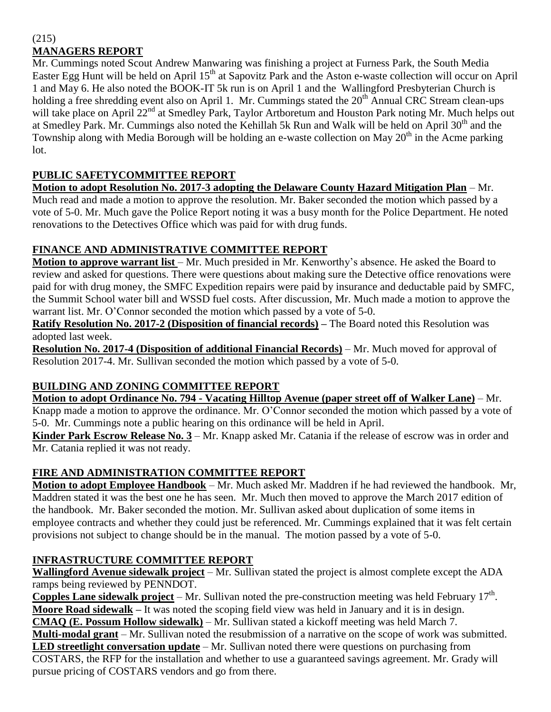#### (215) **MANAGERS REPORT**

Mr. Cummings noted Scout Andrew Manwaring was finishing a project at Furness Park, the South Media Easter Egg Hunt will be held on April 15<sup>th</sup> at Sapovitz Park and the Aston e-waste collection will occur on April 1 and May 6. He also noted the BOOK-IT 5k run is on April 1 and the Wallingford Presbyterian Church is holding a free shredding event also on April 1. Mr. Cummings stated the 20<sup>th</sup> Annual CRC Stream clean-ups will take place on April 22<sup>nd</sup> at Smedley Park, Taylor Artboretum and Houston Park noting Mr. Much helps out at Smedley Park. Mr. Cummings also noted the Kehillah 5k Run and Walk will be held on April 30<sup>th</sup> and the Township along with Media Borough will be holding an e-waste collection on May  $20<sup>th</sup>$  in the Acme parking lot.

## **PUBLIC SAFETYCOMMITTEE REPORT**

**Motion to adopt Resolution No. 2017-3 adopting the Delaware County Hazard Mitigation Plan** – Mr.

Much read and made a motion to approve the resolution. Mr. Baker seconded the motion which passed by a vote of 5-0. Mr. Much gave the Police Report noting it was a busy month for the Police Department. He noted renovations to the Detectives Office which was paid for with drug funds.

## **FINANCE AND ADMINISTRATIVE COMMITTEE REPORT**

**Motion to approve warrant list** – Mr. Much presided in Mr. Kenworthy's absence. He asked the Board to review and asked for questions. There were questions about making sure the Detective office renovations were paid for with drug money, the SMFC Expedition repairs were paid by insurance and deductable paid by SMFC, the Summit School water bill and WSSD fuel costs. After discussion, Mr. Much made a motion to approve the warrant list. Mr. O'Connor seconded the motion which passed by a vote of 5-0.

**Ratify Resolution No. 2017-2 (Disposition of financial records) –** The Board noted this Resolution was adopted last week.

**Resolution No. 2017-4 (Disposition of additional Financial Records)** – Mr. Much moved for approval of Resolution 2017-4. Mr. Sullivan seconded the motion which passed by a vote of 5-0.

# **BUILDING AND ZONING COMMITTEE REPORT**

**Motion to adopt Ordinance No. 794 - Vacating Hilltop Avenue (paper street off of Walker Lane)** – Mr. Knapp made a motion to approve the ordinance. Mr. O'Connor seconded the motion which passed by a vote of 5-0. Mr. Cummings note a public hearing on this ordinance will be held in April.

**Kinder Park Escrow Release No. 3** – Mr. Knapp asked Mr. Catania if the release of escrow was in order and Mr. Catania replied it was not ready.

# **FIRE AND ADMINISTRATION COMMITTEE REPORT**

**Motion to adopt Employee Handbook** – Mr. Much asked Mr. Maddren if he had reviewed the handbook. Mr, Maddren stated it was the best one he has seen. Mr. Much then moved to approve the March 2017 edition of the handbook. Mr. Baker seconded the motion. Mr. Sullivan asked about duplication of some items in employee contracts and whether they could just be referenced. Mr. Cummings explained that it was felt certain provisions not subject to change should be in the manual. The motion passed by a vote of 5-0.

# **INFRASTRUCTURE COMMITTEE REPORT**

**Wallingford Avenue sidewalk project** – Mr. Sullivan stated the project is almost complete except the ADA ramps being reviewed by PENNDOT.

**Copples Lane sidewalk project** – Mr. Sullivan noted the pre-construction meeting was held February 17<sup>th</sup>. **Moore Road sidewalk –** It was noted the scoping field view was held in January and it is in design. **CMAQ (E. Possum Hollow sidewalk)** – Mr. Sullivan stated a kickoff meeting was held March 7.

**Multi-modal grant** – Mr. Sullivan noted the resubmission of a narrative on the scope of work was submitted. **LED streetlight conversation update** – Mr. Sullivan noted there were questions on purchasing from

COSTARS, the RFP for the installation and whether to use a guaranteed savings agreement. Mr. Grady will pursue pricing of COSTARS vendors and go from there.